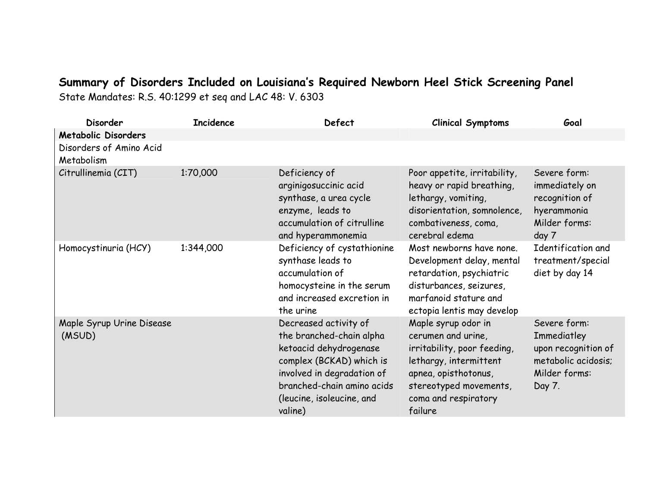## **Summary of Disorders Included on Louisiana's Required Newborn Heel Stick Screening Panel**

State Mandates: R.S. 40:1299 et seq and LAC 48: V. 6303

| <b>Disorder</b>                       | <b>Incidence</b> | Defect                                                                                                                                                                                                      | <b>Clinical Symptoms</b>                                                                                                                                                                | Goal                                                                                                 |
|---------------------------------------|------------------|-------------------------------------------------------------------------------------------------------------------------------------------------------------------------------------------------------------|-----------------------------------------------------------------------------------------------------------------------------------------------------------------------------------------|------------------------------------------------------------------------------------------------------|
| <b>Metabolic Disorders</b>            |                  |                                                                                                                                                                                                             |                                                                                                                                                                                         |                                                                                                      |
| Disorders of Amino Acid<br>Metabolism |                  |                                                                                                                                                                                                             |                                                                                                                                                                                         |                                                                                                      |
| Citrullinemia (CIT)                   | 1:70,000         | Deficiency of<br>arginigosuccinic acid<br>synthase, a urea cycle<br>enzyme, leads to<br>accumulation of citrulline<br>and hyperammonemia                                                                    | Poor appetite, irritability,<br>heavy or rapid breathing,<br>lethargy, vomiting,<br>disorientation, somnolence,<br>combativeness, coma,<br>cerebral edema                               | Severe form:<br>immediately on<br>recognition of<br>hyerammonia<br>Milder forms:<br>day 7            |
| Homocystinuria (HCY)                  | 1:344,000        | Deficiency of cystathionine<br>synthase leads to<br>accumulation of<br>homocysteine in the serum<br>and increased excretion in<br>the urine                                                                 | Most newborns have none.<br>Development delay, mental<br>retardation, psychiatric<br>disturbances, seizures,<br>marfanoid stature and<br>ectopia lentis may develop                     | Identification and<br>treatment/special<br>diet by day 14                                            |
| Maple Syrup Urine Disease<br>(MSUD)   |                  | Decreased activity of<br>the branched-chain alpha<br>ketoacid dehydrogenase<br>complex (BCKAD) which is<br>involved in degradation of<br>branched-chain amino acids<br>(leucine, isoleucine, and<br>valine) | Maple syrup odor in<br>cerumen and urine,<br>irritability, poor feeding,<br>lethargy, intermittent<br>apnea, opisthotonus,<br>stereotyped movements,<br>coma and respiratory<br>failure | Severe form:<br>Immediatley<br>upon recognition of<br>metabolic acidosis;<br>Milder forms:<br>Day 7. |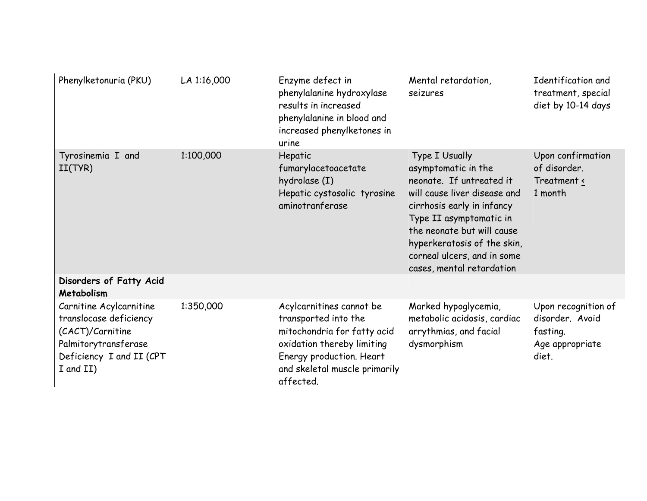| Phenylketonuria (PKU)                                                                                                                  | LA 1:16,000 | Enzyme defect in<br>phenylalanine hydroxylase<br>results in increased<br>phenylalanine in blood and<br>increased phenylketones in<br>urine                                              | Mental retardation,<br>seizures                                                                                                                                                                                                                                                     | Identification and<br>treatment, special<br>diet by 10-14 days                 |
|----------------------------------------------------------------------------------------------------------------------------------------|-------------|-----------------------------------------------------------------------------------------------------------------------------------------------------------------------------------------|-------------------------------------------------------------------------------------------------------------------------------------------------------------------------------------------------------------------------------------------------------------------------------------|--------------------------------------------------------------------------------|
| Tyrosinemia I and<br>II(TYR)                                                                                                           | 1:100,000   | Hepatic<br>fumarylacetoacetate<br>hydrolase (I)<br>Hepatic cystosolic tyrosine<br>aminotranferase                                                                                       | Type I Usually<br>asymptomatic in the<br>neonate. If untreated it<br>will cause liver disease and<br>cirrhosis early in infancy<br>Type II asymptomatic in<br>the neonate but will cause<br>hyperkeratosis of the skin,<br>corneal ulcers, and in some<br>cases, mental retardation | Upon confirmation<br>of disorder.<br>Treatment <<br>1 month                    |
| Disorders of Fatty Acid<br>Metabolism                                                                                                  |             |                                                                                                                                                                                         |                                                                                                                                                                                                                                                                                     |                                                                                |
| Carnitine Acylcarnitine<br>translocase deficiency<br>(CACT)/Carnitine<br>Palmitorytransferase<br>Deficiency I and II (CPT<br>I and II) | 1:350,000   | Acylcarnitines cannot be<br>transported into the<br>mitochondria for fatty acid<br>oxidation thereby limiting<br>Energy production. Heart<br>and skeletal muscle primarily<br>affected. | Marked hypoglycemia,<br>metabolic acidosis, cardiac<br>arrythmias, and facial<br>dysmorphism                                                                                                                                                                                        | Upon recognition of<br>disorder. Avoid<br>fasting.<br>Age appropriate<br>diet. |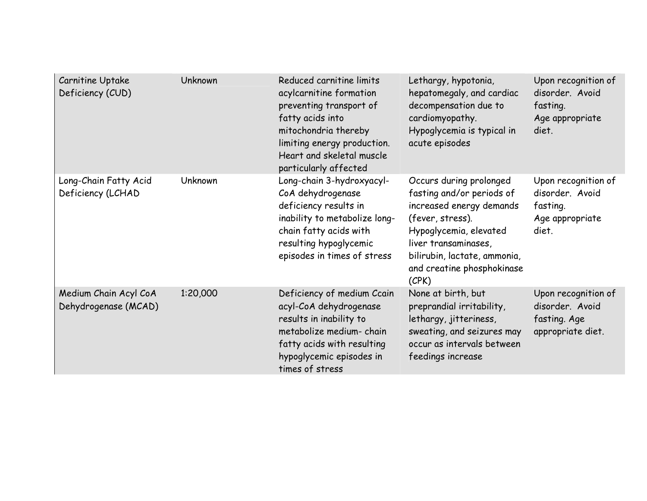| Carnitine Uptake<br>Deficiency (CUD)          | <b>Unknown</b> | Reduced carnitine limits<br>acylcarnitine formation<br>preventing transport of<br>fatty acids into<br>mitochondria thereby<br>limiting energy production.<br>Heart and skeletal muscle<br>particularly affected | Lethargy, hypotonia,<br>hepatomegaly, and cardiac<br>decompensation due to<br>cardiomyopathy.<br>Hypoglycemia is typical in<br>acute episodes                                                                                 | Upon recognition of<br>disorder. Avoid<br>fasting.<br>Age appropriate<br>diet. |
|-----------------------------------------------|----------------|-----------------------------------------------------------------------------------------------------------------------------------------------------------------------------------------------------------------|-------------------------------------------------------------------------------------------------------------------------------------------------------------------------------------------------------------------------------|--------------------------------------------------------------------------------|
| Long-Chain Fatty Acid<br>Deficiency (LCHAD    | Unknown        | Long-chain 3-hydroxyacyl-<br>CoA dehydrogenase<br>deficiency results in<br>inability to metabolize long-<br>chain fatty acids with<br>resulting hypoglycemic<br>episodes in times of stress                     | Occurs during prolonged<br>fasting and/or periods of<br>increased energy demands<br>(fever, stress).<br>Hypoglycemia, elevated<br>liver transaminases,<br>bilirubin, lactate, ammonia,<br>and creatine phosphokinase<br>(CPK) | Upon recognition of<br>disorder. Avoid<br>fasting.<br>Age appropriate<br>diet. |
| Medium Chain Acyl CoA<br>Dehydrogenase (MCAD) | 1:20,000       | Deficiency of medium Ccain<br>acyl-CoA dehydrogenase<br>results in inability to<br>metabolize medium- chain<br>fatty acids with resulting<br>hypoglycemic episodes in<br>times of stress                        | None at birth, but<br>preprandial irritability,<br>lethargy, jitteriness,<br>sweating, and seizures may<br>occur as intervals between<br>feedings increase                                                                    | Upon recognition of<br>disorder. Avoid<br>fasting. Age<br>appropriate diet.    |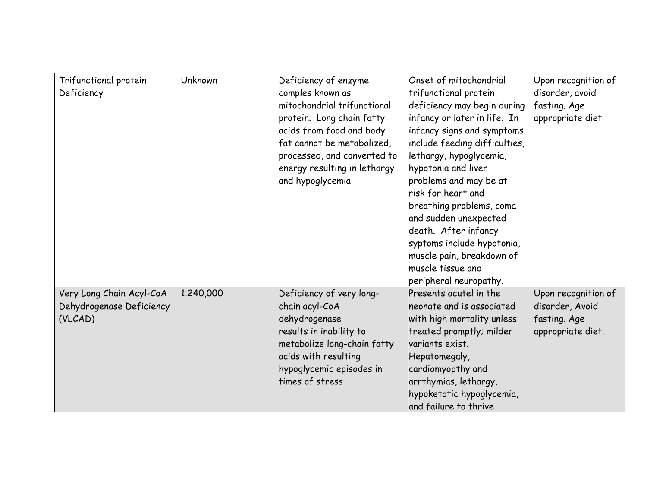| Trifunctional protein<br>Deficiency                             | Unknown   | Deficiency of enzyme<br>comples known as<br>mitochondrial trifunctional<br>protein. Long chain fatty<br>acids from food and body<br>fat cannot be metabolized,<br>processed, and converted to<br>energy resulting in lethargy<br>and hypoglycemia | Onset of mitochondrial<br>trifunctional protein<br>deficiency may begin during<br>infancy or later in life. In<br>infancy signs and symptoms<br>include feeding difficulties,<br>lethargy, hypoglycemia,<br>hypotonia and liver<br>problems and may be at<br>risk for heart and<br>breathing problems, coma<br>and sudden unexpected<br>death. After infancy<br>syptoms include hypotonia,<br>muscle pain, breakdown of<br>muscle tissue and<br>peripheral neuropathy. | Upon recognition of<br>disorder, avoid<br>fasting. Age<br>appropriate diet  |
|-----------------------------------------------------------------|-----------|---------------------------------------------------------------------------------------------------------------------------------------------------------------------------------------------------------------------------------------------------|------------------------------------------------------------------------------------------------------------------------------------------------------------------------------------------------------------------------------------------------------------------------------------------------------------------------------------------------------------------------------------------------------------------------------------------------------------------------|-----------------------------------------------------------------------------|
| Very Long Chain Acyl-CoA<br>Dehydrogenase Deficiency<br>(VLCAD) | 1:240,000 | Deficiency of very long-<br>chain acyl-CoA<br>dehydrogenase<br>results in inability to<br>metabolize long-chain fatty<br>acids with resulting<br>hypoglycemic episodes in<br>times of stress                                                      | Presents acutel in the<br>neonate and is associated<br>with high mortality unless<br>treated promptly; milder<br>variants exist.<br>Hepatomegaly,<br>cardiomyopthy and<br>arrthymias, lethargy,<br>hypoketotic hypoglycemia,<br>and failure to thrive                                                                                                                                                                                                                  | Upon recognition of<br>disorder, Avoid<br>fasting. Age<br>appropriate diet. |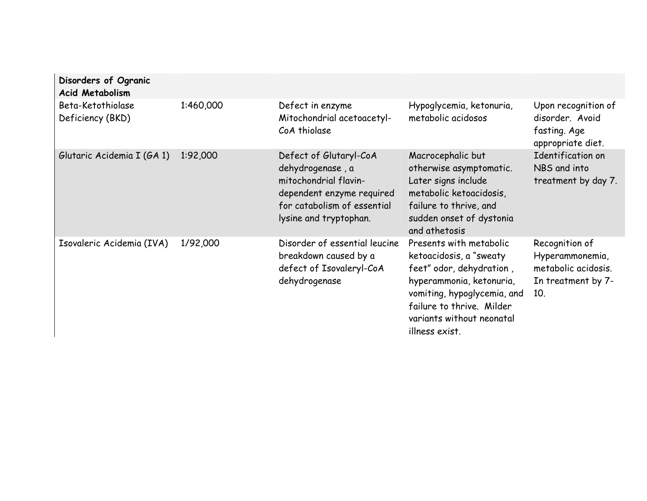| Disorders of Ogranic<br><b>Acid Metabolism</b> |           |                                                                                                                                                           |                                                                                                                                                                                                                       |                                                                                       |
|------------------------------------------------|-----------|-----------------------------------------------------------------------------------------------------------------------------------------------------------|-----------------------------------------------------------------------------------------------------------------------------------------------------------------------------------------------------------------------|---------------------------------------------------------------------------------------|
| Beta-Ketothiolase<br>Deficiency (BKD)          | 1:460,000 | Defect in enzyme<br>Mitochondrial acetoacetyl-<br>CoA thiolase                                                                                            | Hypoglycemia, ketonuria,<br>metabolic acidosos                                                                                                                                                                        | Upon recognition of<br>disorder. Avoid<br>fasting. Age<br>appropriate diet.           |
| Glutaric Acidemia I (GA 1)                     | 1:92,000  | Defect of Glutaryl-CoA<br>dehydrogenase, a<br>mitochondrial flavin-<br>dependent enzyme required<br>for catabolism of essential<br>lysine and tryptophan. | Macrocephalic but<br>otherwise asymptomatic.<br>Later signs include<br>metabolic ketoacidosis,<br>failure to thrive, and<br>sudden onset of dystonia<br>and athetosis                                                 | Identification on<br>NBS and into<br>treatment by day 7.                              |
| Isovaleric Acidemia (IVA)                      | 1/92,000  | Disorder of essential leucine<br>breakdown caused by a<br>defect of Isovaleryl-CoA<br>dehydrogenase                                                       | Presents with metabolic<br>ketoacidosis, a "sweaty<br>feet" odor, dehydration,<br>hyperammonia, ketonuria,<br>vomiting, hypoglycemia, and<br>failure to thrive. Milder<br>variants without neonatal<br>illness exist. | Recognition of<br>Hyperammonemia,<br>metabolic acidosis.<br>In treatment by 7-<br>10. |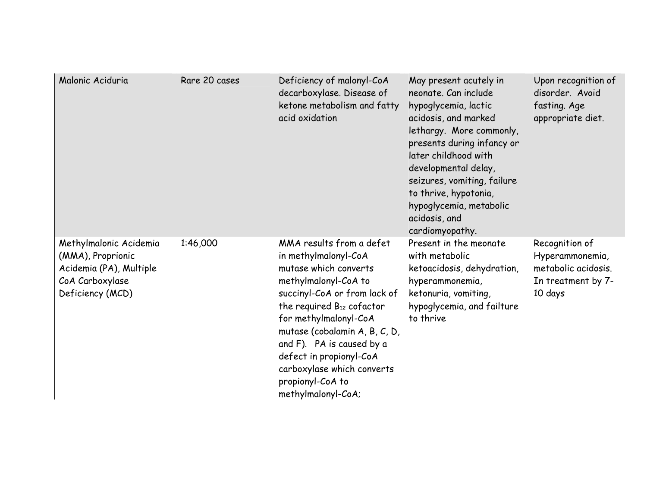| Malonic Aciduria                                                                                              | Rare 20 cases | Deficiency of malonyl-CoA<br>decarboxylase. Disease of<br>ketone metabolism and fatty<br>acid oxidation                                                                                                                                                                                                                                                       | May present acutely in<br>neonate. Can include<br>hypoglycemia, lactic<br>acidosis, and marked<br>lethargy. More commonly,<br>presents during infancy or<br>later childhood with<br>developmental delay,<br>seizures, vomiting, failure<br>to thrive, hypotonia,<br>hypoglycemia, metabolic<br>acidosis, and<br>cardiomyopathy. | Upon recognition of<br>disorder. Avoid<br>fasting. Age<br>appropriate diet.               |
|---------------------------------------------------------------------------------------------------------------|---------------|---------------------------------------------------------------------------------------------------------------------------------------------------------------------------------------------------------------------------------------------------------------------------------------------------------------------------------------------------------------|---------------------------------------------------------------------------------------------------------------------------------------------------------------------------------------------------------------------------------------------------------------------------------------------------------------------------------|-------------------------------------------------------------------------------------------|
| Methylmalonic Acidemia<br>(MMA), Proprionic<br>Acidemia (PA), Multiple<br>CoA Carboxylase<br>Deficiency (MCD) | 1:46,000      | MMA results from a defet<br>in methylmalonyl-CoA<br>mutase which converts<br>methylmalonyl-CoA to<br>succinyl-CoA or from lack of<br>the required $B_{12}$ cofactor<br>for methylmalonyl-CoA<br>mutase (cobalamin A, B, C, D,<br>and F). PA is caused by a<br>defect in propionyl-CoA<br>carboxylase which converts<br>propionyl-CoA to<br>methylmalonyl-CoA; | Present in the meonate<br>with metabolic<br>ketoacidosis, dehydration,<br>hyperammonemia,<br>ketonuria, vomiting,<br>hypoglycemia, and failture<br>to thrive                                                                                                                                                                    | Recognition of<br>Hyperammonemia,<br>metabolic acidosis.<br>In treatment by 7-<br>10 days |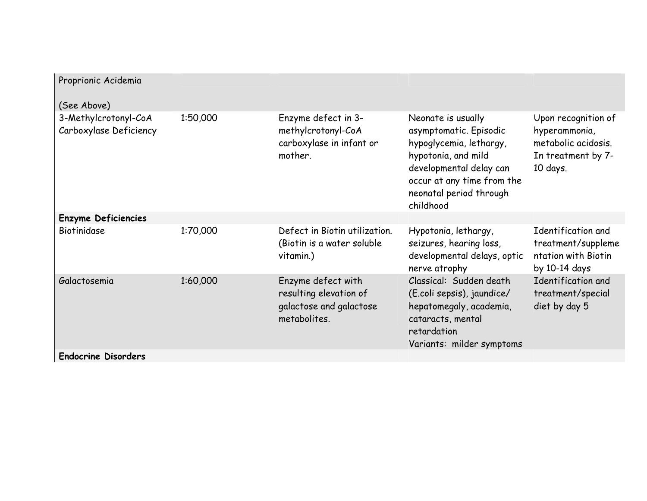| Proprionic Acidemia                                           |          |                                                                                         |                                                                                                                                                                                                 |                                                                                               |
|---------------------------------------------------------------|----------|-----------------------------------------------------------------------------------------|-------------------------------------------------------------------------------------------------------------------------------------------------------------------------------------------------|-----------------------------------------------------------------------------------------------|
| (See Above)<br>3-Methylcrotonyl-CoA<br>Carboxylase Deficiency | 1:50,000 | Enzyme defect in 3-<br>methylcrotonyl-CoA<br>carboxylase in infant or<br>mother.        | Neonate is usually<br>asymptomatic. Episodic<br>hypoglycemia, lethargy,<br>hypotonia, and mild<br>developmental delay can<br>occur at any time from the<br>neonatal period through<br>childhood | Upon recognition of<br>hyperammonia,<br>metabolic acidosis.<br>In treatment by 7-<br>10 days. |
| <b>Enzyme Deficiencies</b>                                    |          |                                                                                         |                                                                                                                                                                                                 |                                                                                               |
| Biotinidase                                                   | 1:70,000 | Defect in Biotin utilization.<br>(Biotin is a water soluble<br>vitamin.)                | Hypotonia, lethargy,<br>seizures, hearing loss,<br>developmental delays, optic<br>nerve atrophy                                                                                                 | Identification and<br>treatment/suppleme<br>ntation with Biotin<br>by 10-14 days              |
| Galactosemia                                                  | 1:60,000 | Enzyme defect with<br>resulting elevation of<br>galactose and galactose<br>metabolites. | Classical: Sudden death<br>(E.coli sepsis), jaundice/<br>hepatomegaly, academia,<br>cataracts, mental<br>retardation<br>Variants: milder symptoms                                               | Identification and<br>treatment/special<br>diet by day 5                                      |
| <b>Endocrine Disorders</b>                                    |          |                                                                                         |                                                                                                                                                                                                 |                                                                                               |